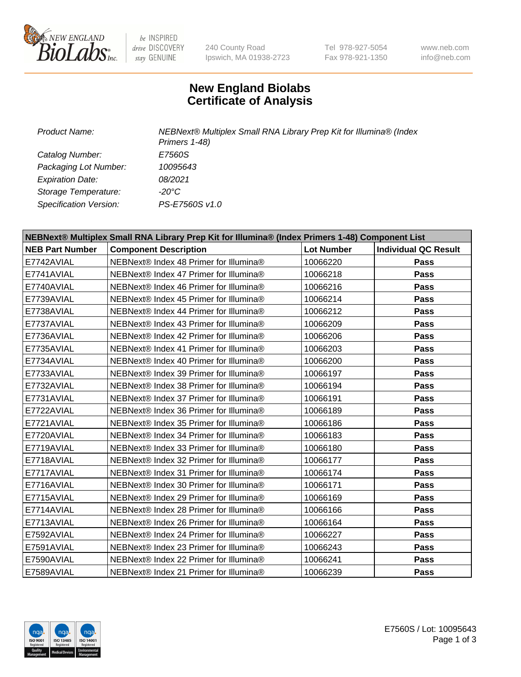

be INSPIRED drive DISCOVERY stay GENUINE

240 County Road Ipswich, MA 01938-2723 Tel 978-927-5054 Fax 978-921-1350

www.neb.com info@neb.com

## **New England Biolabs Certificate of Analysis**

*Product Name: NEBNext® Multiplex Small RNA Library Prep Kit for Illumina® (Index Primers 1-48) Catalog Number: E7560S Packaging Lot Number: 10095643 Expiration Date: 08/2021 Storage Temperature: -20°C Specification Version: PS-E7560S v1.0*

| NEBNext® Multiplex Small RNA Library Prep Kit for Illumina® (Index Primers 1-48) Component List |                                        |                   |                             |  |
|-------------------------------------------------------------------------------------------------|----------------------------------------|-------------------|-----------------------------|--|
| <b>NEB Part Number</b>                                                                          | <b>Component Description</b>           | <b>Lot Number</b> | <b>Individual QC Result</b> |  |
| E7742AVIAL                                                                                      | NEBNext® Index 48 Primer for Illumina® | 10066220          | Pass                        |  |
| E7741AVIAL                                                                                      | NEBNext® Index 47 Primer for Illumina® | 10066218          | Pass                        |  |
| E7740AVIAL                                                                                      | NEBNext® Index 46 Primer for Illumina® | 10066216          | <b>Pass</b>                 |  |
| E7739AVIAL                                                                                      | NEBNext® Index 45 Primer for Illumina® | 10066214          | Pass                        |  |
| E7738AVIAL                                                                                      | NEBNext® Index 44 Primer for Illumina® | 10066212          | Pass                        |  |
| E7737AVIAL                                                                                      | NEBNext® Index 43 Primer for Illumina® | 10066209          | Pass                        |  |
| E7736AVIAL                                                                                      | NEBNext® Index 42 Primer for Illumina® | 10066206          | Pass                        |  |
| E7735AVIAL                                                                                      | NEBNext® Index 41 Primer for Illumina® | 10066203          | <b>Pass</b>                 |  |
| E7734AVIAL                                                                                      | NEBNext® Index 40 Primer for Illumina® | 10066200          | <b>Pass</b>                 |  |
| E7733AVIAL                                                                                      | NEBNext® Index 39 Primer for Illumina® | 10066197          | Pass                        |  |
| E7732AVIAL                                                                                      | NEBNext® Index 38 Primer for Illumina® | 10066194          | Pass                        |  |
| E7731AVIAL                                                                                      | NEBNext® Index 37 Primer for Illumina® | 10066191          | Pass                        |  |
| E7722AVIAL                                                                                      | NEBNext® Index 36 Primer for Illumina® | 10066189          | Pass                        |  |
| E7721AVIAL                                                                                      | NEBNext® Index 35 Primer for Illumina® | 10066186          | <b>Pass</b>                 |  |
| E7720AVIAL                                                                                      | NEBNext® Index 34 Primer for Illumina® | 10066183          | Pass                        |  |
| E7719AVIAL                                                                                      | NEBNext® Index 33 Primer for Illumina® | 10066180          | Pass                        |  |
| E7718AVIAL                                                                                      | NEBNext® Index 32 Primer for Illumina® | 10066177          | Pass                        |  |
| E7717AVIAL                                                                                      | NEBNext® Index 31 Primer for Illumina® | 10066174          | Pass                        |  |
| E7716AVIAL                                                                                      | NEBNext® Index 30 Primer for Illumina® | 10066171          | Pass                        |  |
| E7715AVIAL                                                                                      | NEBNext® Index 29 Primer for Illumina® | 10066169          | Pass                        |  |
| E7714AVIAL                                                                                      | NEBNext® Index 28 Primer for Illumina® | 10066166          | <b>Pass</b>                 |  |
| E7713AVIAL                                                                                      | NEBNext® Index 26 Primer for Illumina® | 10066164          | Pass                        |  |
| E7592AVIAL                                                                                      | NEBNext® Index 24 Primer for Illumina® | 10066227          | <b>Pass</b>                 |  |
| E7591AVIAL                                                                                      | NEBNext® Index 23 Primer for Illumina® | 10066243          | Pass                        |  |
| E7590AVIAL                                                                                      | NEBNext® Index 22 Primer for Illumina® | 10066241          | Pass                        |  |
| E7589AVIAL                                                                                      | NEBNext® Index 21 Primer for Illumina® | 10066239          | Pass                        |  |

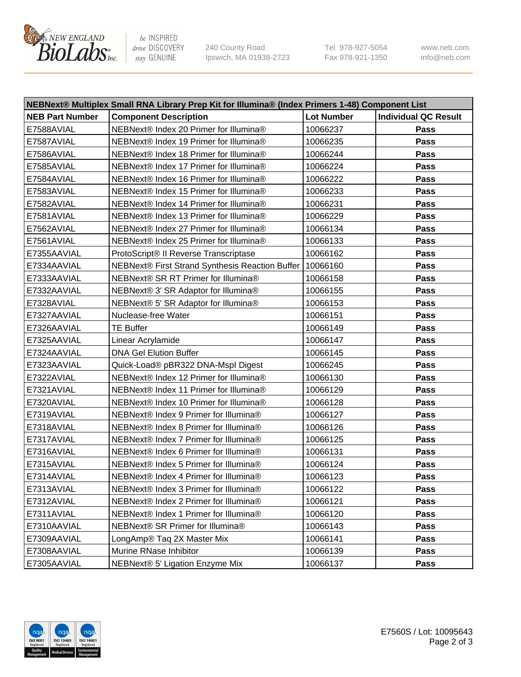

be INSPIRED drive DISCOVERY stay GENUINE

240 County Road Ipswich, MA 01938-2723 Tel 978-927-5054 Fax 978-921-1350 www.neb.com info@neb.com

| NEBNext® Multiplex Small RNA Library Prep Kit for Illumina® (Index Primers 1-48) Component List |                                                            |                   |                             |  |
|-------------------------------------------------------------------------------------------------|------------------------------------------------------------|-------------------|-----------------------------|--|
| <b>NEB Part Number</b>                                                                          | <b>Component Description</b>                               | <b>Lot Number</b> | <b>Individual QC Result</b> |  |
| E7588AVIAL                                                                                      | NEBNext® Index 20 Primer for Illumina®                     | 10066237          | Pass                        |  |
| E7587AVIAL                                                                                      | NEBNext® Index 19 Primer for Illumina®                     | 10066235          | Pass                        |  |
| E7586AVIAL                                                                                      | NEBNext® Index 18 Primer for Illumina®                     | 10066244          | Pass                        |  |
| E7585AVIAL                                                                                      | NEBNext® Index 17 Primer for Illumina®                     | 10066224          | Pass                        |  |
| E7584AVIAL                                                                                      | NEBNext® Index 16 Primer for Illumina®                     | 10066222          | Pass                        |  |
| E7583AVIAL                                                                                      | NEBNext® Index 15 Primer for Illumina®                     | 10066233          | Pass                        |  |
| E7582AVIAL                                                                                      | NEBNext® Index 14 Primer for Illumina®                     | 10066231          | Pass                        |  |
| E7581AVIAL                                                                                      | NEBNext® Index 13 Primer for Illumina®                     | 10066229          | Pass                        |  |
| E7562AVIAL                                                                                      | NEBNext® Index 27 Primer for Illumina®                     | 10066134          | Pass                        |  |
| E7561AVIAL                                                                                      | NEBNext® Index 25 Primer for Illumina®                     | 10066133          | Pass                        |  |
| E7355AAVIAL                                                                                     | ProtoScript® II Reverse Transcriptase                      | 10066162          | Pass                        |  |
| E7334AAVIAL                                                                                     | NEBNext® First Strand Synthesis Reaction Buffer   10066160 |                   | Pass                        |  |
| E7333AAVIAL                                                                                     | NEBNext® SR RT Primer for Illumina®                        | 10066158          | Pass                        |  |
| E7332AAVIAL                                                                                     | NEBNext® 3' SR Adaptor for Illumina®                       | 10066155          | Pass                        |  |
| E7328AVIAL                                                                                      | NEBNext® 5' SR Adaptor for Illumina®                       | 10066153          | Pass                        |  |
| E7327AAVIAL                                                                                     | Nuclease-free Water                                        | 10066151          | Pass                        |  |
| E7326AAVIAL                                                                                     | <b>TE Buffer</b>                                           | 10066149          | Pass                        |  |
| E7325AAVIAL                                                                                     | Linear Acrylamide                                          | 10066147          | Pass                        |  |
| E7324AAVIAL                                                                                     | <b>DNA Gel Elution Buffer</b>                              | 10066145          | Pass                        |  |
| E7323AAVIAL                                                                                     | Quick-Load® pBR322 DNA-Mspl Digest                         | 10066245          | Pass                        |  |
| E7322AVIAL                                                                                      | NEBNext® Index 12 Primer for Illumina®                     | 10066130          | Pass                        |  |
| E7321AVIAL                                                                                      | NEBNext® Index 11 Primer for Illumina®                     | 10066129          | Pass                        |  |
| E7320AVIAL                                                                                      | NEBNext® Index 10 Primer for Illumina®                     | 10066128          | Pass                        |  |
| E7319AVIAL                                                                                      | NEBNext® Index 9 Primer for Illumina®                      | 10066127          | Pass                        |  |
| E7318AVIAL                                                                                      | NEBNext® Index 8 Primer for Illumina®                      | 10066126          | Pass                        |  |
| E7317AVIAL                                                                                      | NEBNext® Index 7 Primer for Illumina®                      | 10066125          | Pass                        |  |
| E7316AVIAL                                                                                      | NEBNext® Index 6 Primer for Illumina®                      | 10066131          | Pass                        |  |
| E7315AVIAL                                                                                      | NEBNext® Index 5 Primer for Illumina®                      | 10066124          | Pass                        |  |
| E7314AVIAL                                                                                      | NEBNext® Index 4 Primer for Illumina®                      | 10066123          | Pass                        |  |
| E7313AVIAL                                                                                      | NEBNext® Index 3 Primer for Illumina®                      | 10066122          | <b>Pass</b>                 |  |
| E7312AVIAL                                                                                      | NEBNext® Index 2 Primer for Illumina®                      | 10066121          | Pass                        |  |
| E7311AVIAL                                                                                      | NEBNext® Index 1 Primer for Illumina®                      | 10066120          | Pass                        |  |
| E7310AAVIAL                                                                                     | NEBNext® SR Primer for Illumina®                           | 10066143          | Pass                        |  |
| E7309AAVIAL                                                                                     | LongAmp® Taq 2X Master Mix                                 | 10066141          | Pass                        |  |
| E7308AAVIAL                                                                                     | Murine RNase Inhibitor                                     | 10066139          | Pass                        |  |
| E7305AAVIAL                                                                                     | NEBNext® 5' Ligation Enzyme Mix                            | 10066137          | Pass                        |  |